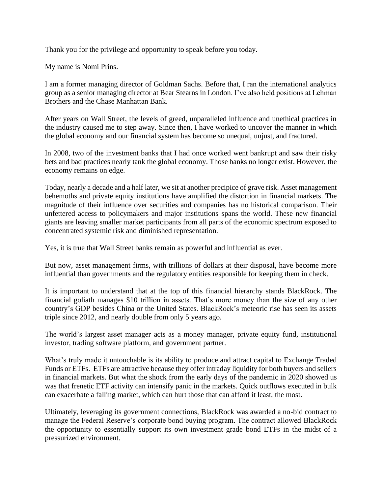Thank you for the privilege and opportunity to speak before you today.

My name is Nomi Prins.

I am a former managing director of Goldman Sachs. Before that, I ran the international analytics group as a senior managing director at Bear Stearns in London. I've also held positions at Lehman Brothers and the Chase Manhattan Bank.

After years on Wall Street, the levels of greed, unparalleled influence and unethical practices in the industry caused me to step away. Since then, I have worked to uncover the manner in which the global economy and our financial system has become so unequal, unjust, and fractured.

In 2008, two of the investment banks that I had once worked went bankrupt and saw their risky bets and bad practices nearly tank the global economy. Those banks no longer exist. However, the economy remains on edge.

Today, nearly a decade and a half later, we sit at another precipice of grave risk. Asset management behemoths and private equity institutions have amplified the distortion in financial markets. The magnitude of their influence over securities and companies has no historical comparison. Their unfettered access to policymakers and major institutions spans the world. These new financial giants are leaving smaller market participants from all parts of the economic spectrum exposed to concentrated systemic risk and diminished representation.

Yes, it is true that Wall Street banks remain as powerful and influential as ever.

But now, asset management firms, with trillions of dollars at their disposal, have become more influential than governments and the regulatory entities responsible for keeping them in check.

It is important to understand that at the top of this financial hierarchy stands BlackRock. The financial goliath manages \$10 trillion in assets. That's more money than the size of any other country's GDP besides China or the United States. BlackRock's meteoric rise has seen its assets triple since 2012, and nearly double from only 5 years ago.

The world's largest asset manager acts as a money manager, private equity fund, institutional investor, trading software platform, and government partner.

What's truly made it untouchable is its ability to produce and attract capital to Exchange Traded Funds or ETFs. ETFs are attractive because they offer intraday liquidity for both buyers and sellers in financial markets. But what the shock from the early days of the pandemic in 2020 showed us was that frenetic ETF activity can intensify panic in the markets. Quick outflows executed in bulk can exacerbate a falling market, which can hurt those that can afford it least, the most.

Ultimately, leveraging its government connections, BlackRock was awarded a no-bid contract to manage the Federal Reserve's corporate bond buying program. The contract allowed BlackRock the opportunity to essentially support its own investment grade bond ETFs in the midst of a pressurized environment.